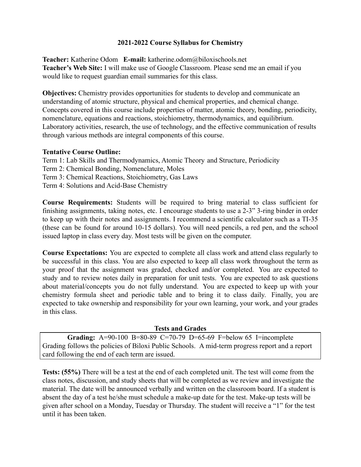## **2021-2022 Course Syllabus for Chemistry**

**Teacher:** Katherine Odom **E-mail:** katherine.odom@biloxischools.net **Teacher's Web Site:** I will make use of Google Classroom. Please send me an email if you would like to request guardian email summaries for this class.

**Objectives:** Chemistry provides opportunities for students to develop and communicate an understanding of atomic structure, physical and chemical properties, and chemical change. Concepts covered in this course include properties of matter, atomic theory, bonding, periodicity, nomenclature, equations and reactions, stoichiometry, thermodynamics, and equilibrium. Laboratory activities, research, the use of technology, and the effective communication of results through various methods are integral components of this course.

## **Tentative Course Outline:**

- Term 1: Lab Skills and Thermodynamics, Atomic Theory and Structure, Periodicity
- Term 2: Chemical Bonding, Nomenclature, Moles
- Term 3: Chemical Reactions, Stoichiometry, Gas Laws
- Term 4: Solutions and Acid-Base Chemistry

**Course Requirements:** Students will be required to bring material to class sufficient for finishing assignments, taking notes, etc. I encourage students to use a 2-3" 3-ring binder in order to keep up with their notes and assignments. I recommend a scientific calculator such as a TI-35 (these can be found for around 10-15 dollars). You will need pencils, a red pen, and the school issued laptop in class every day. Most tests will be given on the computer.

**Course Expectations:** You are expected to complete all class work and attend class regularly to be successful in this class. You are also expected to keep all class work throughout the term as your proof that the assignment was graded, checked and/or completed. You are expected to study and to review notes daily in preparation for unit tests. You are expected to ask questions about material/concepts you do not fully understand. You are expected to keep up with your chemistry formula sheet and periodic table and to bring it to class daily. Finally, you are expected to take ownership and responsibility for your own learning, your work, and your grades in this class.

## **Tests and Grades**

**Grading:** A=90-100 B=80-89 C=70-79 D=65-69 F=below 65 I=incomplete Grading follows the policies of Biloxi Public Schools. A mid-term progress report and a report card following the end of each term are issued.

**Tests: (55%)** There will be a test at the end of each completed unit. The test will come from the class notes, discussion, and study sheets that will be completed as we review and investigate the material. The date will be announced verbally and written on the classroom board. If a student is absent the day of a test he/she must schedule a make-up date for the test. Make-up tests will be given after school on a Monday, Tuesday or Thursday. The student will receive a "1" for the test until it has been taken.